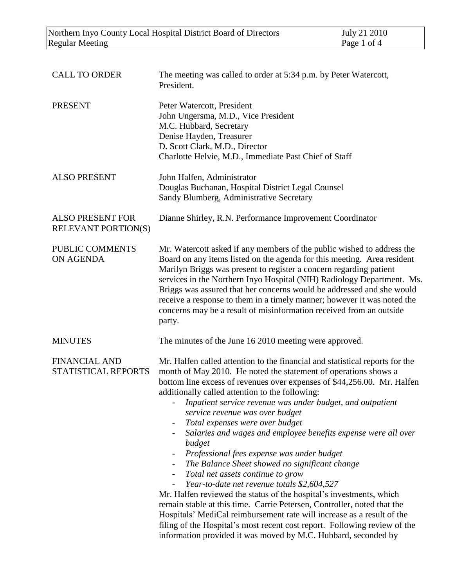| <b>CALL TO ORDER</b>                                  | The meeting was called to order at 5:34 p.m. by Peter Watercott,<br>President.                                                                                                                                                                                                                                                                                                                                                                                                                                                                                                                                                                                                                                                                                                                                                                                                                                                                                                                                                                                                                             |
|-------------------------------------------------------|------------------------------------------------------------------------------------------------------------------------------------------------------------------------------------------------------------------------------------------------------------------------------------------------------------------------------------------------------------------------------------------------------------------------------------------------------------------------------------------------------------------------------------------------------------------------------------------------------------------------------------------------------------------------------------------------------------------------------------------------------------------------------------------------------------------------------------------------------------------------------------------------------------------------------------------------------------------------------------------------------------------------------------------------------------------------------------------------------------|
| <b>PRESENT</b>                                        | Peter Watercott, President<br>John Ungersma, M.D., Vice President<br>M.C. Hubbard, Secretary<br>Denise Hayden, Treasurer<br>D. Scott Clark, M.D., Director<br>Charlotte Helvie, M.D., Immediate Past Chief of Staff                                                                                                                                                                                                                                                                                                                                                                                                                                                                                                                                                                                                                                                                                                                                                                                                                                                                                        |
| <b>ALSO PRESENT</b>                                   | John Halfen, Administrator<br>Douglas Buchanan, Hospital District Legal Counsel<br>Sandy Blumberg, Administrative Secretary                                                                                                                                                                                                                                                                                                                                                                                                                                                                                                                                                                                                                                                                                                                                                                                                                                                                                                                                                                                |
| <b>ALSO PRESENT FOR</b><br><b>RELEVANT PORTION(S)</b> | Dianne Shirley, R.N. Performance Improvement Coordinator                                                                                                                                                                                                                                                                                                                                                                                                                                                                                                                                                                                                                                                                                                                                                                                                                                                                                                                                                                                                                                                   |
| PUBLIC COMMENTS<br>ON AGENDA                          | Mr. Watercott asked if any members of the public wished to address the<br>Board on any items listed on the agenda for this meeting. Area resident<br>Marilyn Briggs was present to register a concern regarding patient<br>services in the Northern Inyo Hospital (NIH) Radiology Department. Ms.<br>Briggs was assured that her concerns would be addressed and she would<br>receive a response to them in a timely manner; however it was noted the<br>concerns may be a result of misinformation received from an outside<br>party.                                                                                                                                                                                                                                                                                                                                                                                                                                                                                                                                                                     |
| <b>MINUTES</b>                                        | The minutes of the June 16 2010 meeting were approved.                                                                                                                                                                                                                                                                                                                                                                                                                                                                                                                                                                                                                                                                                                                                                                                                                                                                                                                                                                                                                                                     |
| <b>FINANCIAL AND</b><br>STATISTICAL REPORTS           | Mr. Halfen called attention to the financial and statistical reports for the<br>month of May 2010. He noted the statement of operations shows a<br>bottom line excess of revenues over expenses of \$44,256.00. Mr. Halfen<br>additionally called attention to the following:<br>Inpatient service revenue was under budget, and outpatient<br>service revenue was over budget<br>Total expenses were over budget<br>$\overline{\phantom{a}}$<br>Salaries and wages and employee benefits expense were all over<br>budget<br>Professional fees expense was under budget<br>$\overline{a}$<br>The Balance Sheet showed no significant change<br>Total net assets continue to grow<br>Year-to-date net revenue totals \$2,604,527<br>Mr. Halfen reviewed the status of the hospital's investments, which<br>remain stable at this time. Carrie Petersen, Controller, noted that the<br>Hospitals' MediCal reimbursement rate will increase as a result of the<br>filing of the Hospital's most recent cost report. Following review of the<br>information provided it was moved by M.C. Hubbard, seconded by |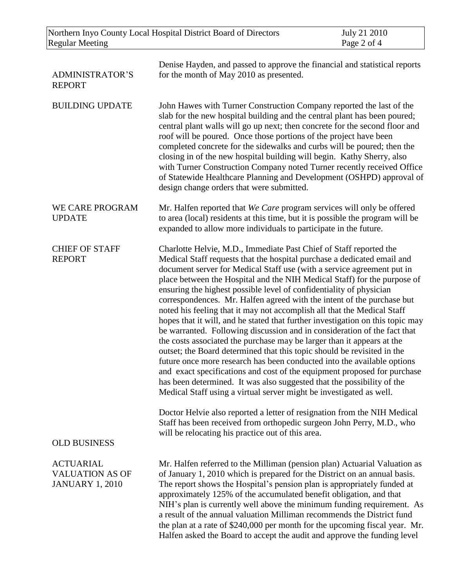| Northern Inyo County Local Hospital District Board of Directors<br><b>Regular Meeting</b> |                                                                                                                                                                                                                                                                                                                                                                                                                                                                                                                                                                                                                                                                                                                                                                                                                                                                                                                                                                                                                                                                                                                                                                                                                                        | July 21 2010<br>Page 2 of 4 |
|-------------------------------------------------------------------------------------------|----------------------------------------------------------------------------------------------------------------------------------------------------------------------------------------------------------------------------------------------------------------------------------------------------------------------------------------------------------------------------------------------------------------------------------------------------------------------------------------------------------------------------------------------------------------------------------------------------------------------------------------------------------------------------------------------------------------------------------------------------------------------------------------------------------------------------------------------------------------------------------------------------------------------------------------------------------------------------------------------------------------------------------------------------------------------------------------------------------------------------------------------------------------------------------------------------------------------------------------|-----------------------------|
| <b>ADMINISTRATOR'S</b><br><b>REPORT</b>                                                   | Denise Hayden, and passed to approve the financial and statistical reports<br>for the month of May 2010 as presented.                                                                                                                                                                                                                                                                                                                                                                                                                                                                                                                                                                                                                                                                                                                                                                                                                                                                                                                                                                                                                                                                                                                  |                             |
| <b>BUILDING UPDATE</b>                                                                    | John Hawes with Turner Construction Company reported the last of the<br>slab for the new hospital building and the central plant has been poured;<br>central plant walls will go up next; then concrete for the second floor and<br>roof will be poured. Once those portions of the project have been<br>completed concrete for the sidewalks and curbs will be poured; then the<br>closing in of the new hospital building will begin. Kathy Sherry, also<br>with Turner Construction Company noted Turner recently received Office<br>of Statewide Healthcare Planning and Development (OSHPD) approval of<br>design change orders that were submitted.                                                                                                                                                                                                                                                                                                                                                                                                                                                                                                                                                                              |                             |
| WE CARE PROGRAM<br><b>UPDATE</b>                                                          | Mr. Halfen reported that We Care program services will only be offered<br>to area (local) residents at this time, but it is possible the program will be<br>expanded to allow more individuals to participate in the future.                                                                                                                                                                                                                                                                                                                                                                                                                                                                                                                                                                                                                                                                                                                                                                                                                                                                                                                                                                                                           |                             |
| <b>CHIEF OF STAFF</b><br><b>REPORT</b>                                                    | Charlotte Helvie, M.D., Immediate Past Chief of Staff reported the<br>Medical Staff requests that the hospital purchase a dedicated email and<br>document server for Medical Staff use (with a service agreement put in<br>place between the Hospital and the NIH Medical Staff) for the purpose of<br>ensuring the highest possible level of confidentiality of physician<br>correspondences. Mr. Halfen agreed with the intent of the purchase but<br>noted his feeling that it may not accomplish all that the Medical Staff<br>hopes that it will, and he stated that further investigation on this topic may<br>be warranted. Following discussion and in consideration of the fact that<br>the costs associated the purchase may be larger than it appears at the<br>outset; the Board determined that this topic should be revisited in the<br>future once more research has been conducted into the available options<br>and exact specifications and cost of the equipment proposed for purchase<br>has been determined. It was also suggested that the possibility of the<br>Medical Staff using a virtual server might be investigated as well.<br>Doctor Helvie also reported a letter of resignation from the NIH Medical |                             |
| <b>OLD BUSINESS</b>                                                                       | Staff has been received from orthopedic surgeon John Perry, M.D., who<br>will be relocating his practice out of this area.                                                                                                                                                                                                                                                                                                                                                                                                                                                                                                                                                                                                                                                                                                                                                                                                                                                                                                                                                                                                                                                                                                             |                             |
| <b>ACTUARIAL</b><br><b>VALUATION AS OF</b><br><b>JANUARY 1, 2010</b>                      | Mr. Halfen referred to the Milliman (pension plan) Actuarial Valuation as<br>of January 1, 2010 which is prepared for the District on an annual basis.<br>The report shows the Hospital's pension plan is appropriately funded at<br>approximately 125% of the accumulated benefit obligation, and that<br>NIH's plan is currently well above the minimum funding requirement. As<br>a result of the annual valuation Milliman recommends the District fund<br>the plan at a rate of \$240,000 per month for the upcoming fiscal year. Mr.<br>Halfen asked the Board to accept the audit and approve the funding level                                                                                                                                                                                                                                                                                                                                                                                                                                                                                                                                                                                                                 |                             |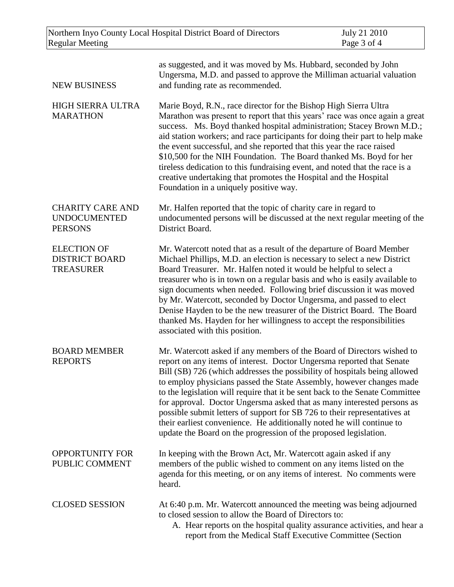| Northern Inyo County Local Hospital District Board of Directors  |                                                                                                                                                                                                                                                                                                                                                                                                                                                                                                                                                                                                                                                                                          | July 21 2010 |
|------------------------------------------------------------------|------------------------------------------------------------------------------------------------------------------------------------------------------------------------------------------------------------------------------------------------------------------------------------------------------------------------------------------------------------------------------------------------------------------------------------------------------------------------------------------------------------------------------------------------------------------------------------------------------------------------------------------------------------------------------------------|--------------|
| <b>Regular Meeting</b>                                           |                                                                                                                                                                                                                                                                                                                                                                                                                                                                                                                                                                                                                                                                                          | Page 3 of 4  |
| <b>NEW BUSINESS</b>                                              | as suggested, and it was moved by Ms. Hubbard, seconded by John<br>Ungersma, M.D. and passed to approve the Milliman actuarial valuation<br>and funding rate as recommended.                                                                                                                                                                                                                                                                                                                                                                                                                                                                                                             |              |
| <b>HIGH SIERRA ULTRA</b><br><b>MARATHON</b>                      | Marie Boyd, R.N., race director for the Bishop High Sierra Ultra<br>Marathon was present to report that this years' race was once again a great<br>success. Ms. Boyd thanked hospital administration; Stacey Brown M.D.;<br>aid station workers; and race participants for doing their part to help make<br>the event successful, and she reported that this year the race raised<br>\$10,500 for the NIH Foundation. The Board thanked Ms. Boyd for her<br>tireless dedication to this fundraising event, and noted that the race is a<br>creative undertaking that promotes the Hospital and the Hospital<br>Foundation in a uniquely positive way.                                    |              |
| <b>CHARITY CARE AND</b><br><b>UNDOCUMENTED</b><br><b>PERSONS</b> | Mr. Halfen reported that the topic of charity care in regard to<br>undocumented persons will be discussed at the next regular meeting of the<br>District Board.                                                                                                                                                                                                                                                                                                                                                                                                                                                                                                                          |              |
| <b>ELECTION OF</b><br><b>DISTRICT BOARD</b><br><b>TREASURER</b>  | Mr. Watercott noted that as a result of the departure of Board Member<br>Michael Phillips, M.D. an election is necessary to select a new District<br>Board Treasurer. Mr. Halfen noted it would be helpful to select a<br>treasurer who is in town on a regular basis and who is easily available to<br>sign documents when needed. Following brief discussion it was moved<br>by Mr. Watercott, seconded by Doctor Ungersma, and passed to elect<br>Denise Hayden to be the new treasurer of the District Board. The Board<br>thanked Ms. Hayden for her willingness to accept the responsibilities<br>associated with this position.                                                   |              |
| <b>BOARD MEMBER</b><br><b>REPORTS</b>                            | Mr. Watercott asked if any members of the Board of Directors wished to<br>report on any items of interest. Doctor Ungersma reported that Senate<br>Bill (SB) 726 (which addresses the possibility of hospitals being allowed<br>to employ physicians passed the State Assembly, however changes made<br>to the legislation will require that it be sent back to the Senate Committee<br>for approval. Doctor Ungersma asked that as many interested persons as<br>possible submit letters of support for SB 726 to their representatives at<br>their earliest convenience. He additionally noted he will continue to<br>update the Board on the progression of the proposed legislation. |              |
| <b>OPPORTUNITY FOR</b><br>PUBLIC COMMENT                         | In keeping with the Brown Act, Mr. Watercott again asked if any<br>members of the public wished to comment on any items listed on the<br>agenda for this meeting, or on any items of interest. No comments were<br>heard.                                                                                                                                                                                                                                                                                                                                                                                                                                                                |              |
| <b>CLOSED SESSION</b>                                            | At 6:40 p.m. Mr. Watercott announced the meeting was being adjourned<br>to closed session to allow the Board of Directors to:<br>A. Hear reports on the hospital quality assurance activities, and hear a<br>report from the Medical Staff Executive Committee (Section                                                                                                                                                                                                                                                                                                                                                                                                                  |              |